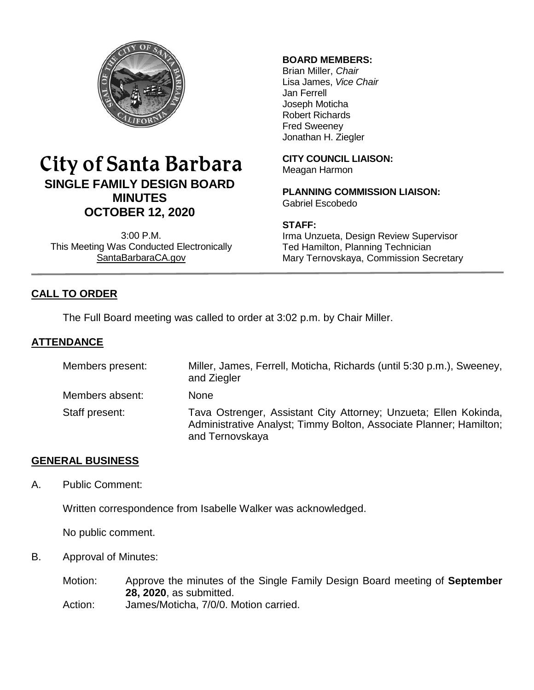

# City of Santa Barbara **SINGLE FAMILY DESIGN BOARD MINUTES OCTOBER 12, 2020**

3:00 P.M. This Meeting Was Conducted Electronically [SantaBarbaraCA.gov](http://www.santabarbaraca.gov/)

#### **BOARD MEMBERS:**

Brian Miller, *Chair* Lisa James, *Vice Chair* Jan Ferrell Joseph Moticha Robert Richards Fred Sweeney Jonathan H. Ziegler

**CITY COUNCIL LIAISON:** Meagan Harmon

**PLANNING COMMISSION LIAISON:** Gabriel Escobedo

#### **STAFF:**

Irma Unzueta, Design Review Supervisor Ted Hamilton, Planning Technician Mary Ternovskaya, Commission Secretary

# **CALL TO ORDER**

The Full Board meeting was called to order at 3:02 p.m. by Chair Miller.

### **ATTENDANCE**

| Members present: | Miller, James, Ferrell, Moticha, Richards (until 5:30 p.m.), Sweeney,<br>and Ziegler                                                                      |
|------------------|-----------------------------------------------------------------------------------------------------------------------------------------------------------|
| Members absent:  | <b>None</b>                                                                                                                                               |
| Staff present:   | Tava Ostrenger, Assistant City Attorney; Unzueta; Ellen Kokinda,<br>Administrative Analyst; Timmy Bolton, Associate Planner; Hamilton;<br>and Ternovskaya |

## **GENERAL BUSINESS**

A. Public Comment:

Written correspondence from Isabelle Walker was acknowledged.

No public comment.

B. Approval of Minutes:

Motion: Approve the minutes of the Single Family Design Board meeting of **September 28, 2020**, as submitted. Action: James/Moticha, 7/0/0. Motion carried.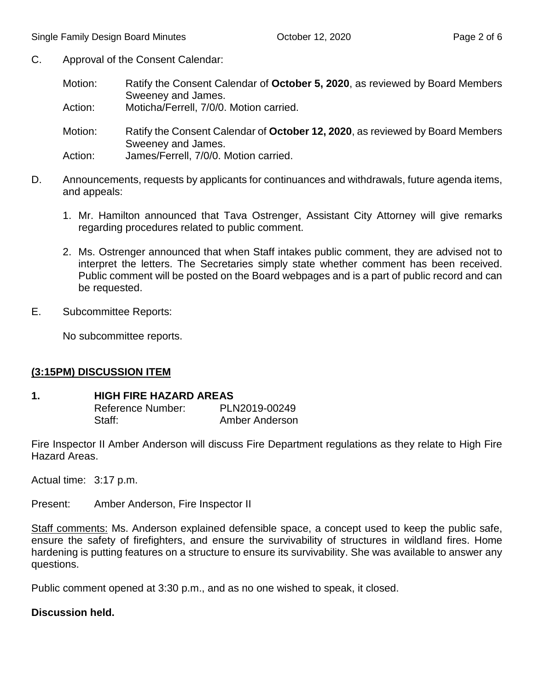- C. Approval of the Consent Calendar:
	- Motion: Ratify the Consent Calendar of **October 5, 2020**, as reviewed by Board Members Sweeney and James.
	- Action: Moticha/Ferrell, 7/0/0. Motion carried.
	- Motion: Ratify the Consent Calendar of **October 12, 2020**, as reviewed by Board Members Sweeney and James.
	- Action: James/Ferrell, 7/0/0. Motion carried.
- D. Announcements, requests by applicants for continuances and withdrawals, future agenda items, and appeals:
	- 1. Mr. Hamilton announced that Tava Ostrenger, Assistant City Attorney will give remarks regarding procedures related to public comment.
	- 2. Ms. Ostrenger announced that when Staff intakes public comment, they are advised not to interpret the letters. The Secretaries simply state whether comment has been received. Public comment will be posted on the Board webpages and is a part of public record and can be requested.
- E. Subcommittee Reports:

No subcommittee reports.

#### **(3:15PM) DISCUSSION ITEM**

#### **1. HIGH FIRE HAZARD AREAS**

Reference Number: PLN2019-00249 Staff: **Amber Anderson** 

Fire Inspector II Amber Anderson will discuss Fire Department regulations as they relate to High Fire Hazard Areas.

Actual time: 3:17 p.m.

Present: Amber Anderson, Fire Inspector II

Staff comments: Ms. Anderson explained defensible space, a concept used to keep the public safe, ensure the safety of firefighters, and ensure the survivability of structures in wildland fires. Home hardening is putting features on a structure to ensure its survivability. She was available to answer any questions.

Public comment opened at 3:30 p.m., and as no one wished to speak, it closed.

#### **Discussion held.**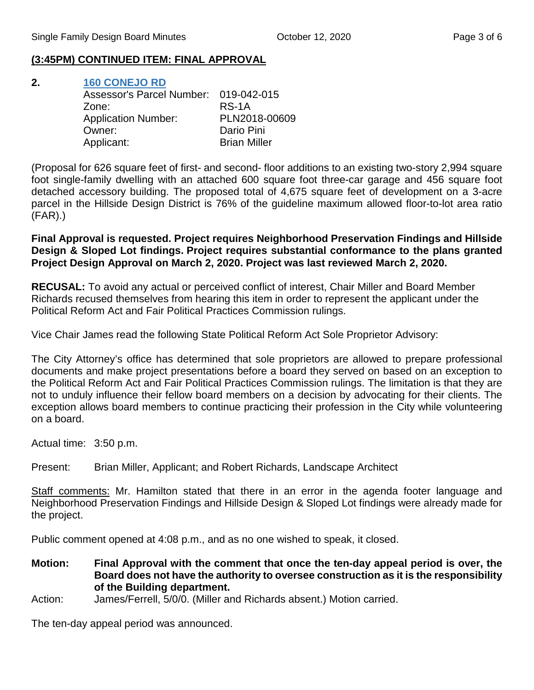#### **(3:45PM) CONTINUED ITEM: FINAL APPROVAL**

**2. [160 CONEJO RD](https://www.santabarbaraca.gov/SBdocuments/Advisory_Groups/Single_Family_Design_Board/Archive/2020_Archives/03_Architectural_Drawings/2020-10-12_October_12_2020_160_Conejo.pdf)** Assessor's Parcel Number: 019-042-015 Zone: RS-1A Application Number: PLN2018-00609 Owner: Dario Pini Applicant: Brian Miller

(Proposal for 626 square feet of first- and second- floor additions to an existing two-story 2,994 square foot single-family dwelling with an attached 600 square foot three-car garage and 456 square foot detached accessory building. The proposed total of 4,675 square feet of development on a 3-acre parcel in the Hillside Design District is 76% of the guideline maximum allowed floor-to-lot area ratio (FAR).)

**Final Approval is requested. Project requires Neighborhood Preservation Findings and Hillside Design & Sloped Lot findings. Project requires substantial conformance to the plans granted Project Design Approval on March 2, 2020. Project was last reviewed March 2, 2020.**

**RECUSAL:** To avoid any actual or perceived conflict of interest, Chair Miller and Board Member Richards recused themselves from hearing this item in order to represent the applicant under the Political Reform Act and Fair Political Practices Commission rulings.

Vice Chair James read the following State Political Reform Act Sole Proprietor Advisory:

The City Attorney's office has determined that sole proprietors are allowed to prepare professional documents and make project presentations before a board they served on based on an exception to the Political Reform Act and Fair Political Practices Commission rulings. The limitation is that they are not to unduly influence their fellow board members on a decision by advocating for their clients. The exception allows board members to continue practicing their profession in the City while volunteering on a board.

Actual time: 3:50 p.m.

Present: Brian Miller, Applicant; and Robert Richards, Landscape Architect

Staff comments: Mr. Hamilton stated that there in an error in the agenda footer language and Neighborhood Preservation Findings and Hillside Design & Sloped Lot findings were already made for the project.

Public comment opened at 4:08 p.m., and as no one wished to speak, it closed.

**Motion: Final Approval with the comment that once the ten-day appeal period is over, the Board does not have the authority to oversee construction as it is the responsibility of the Building department.**

Action: James/Ferrell, 5/0/0. (Miller and Richards absent.) Motion carried.

The ten-day appeal period was announced.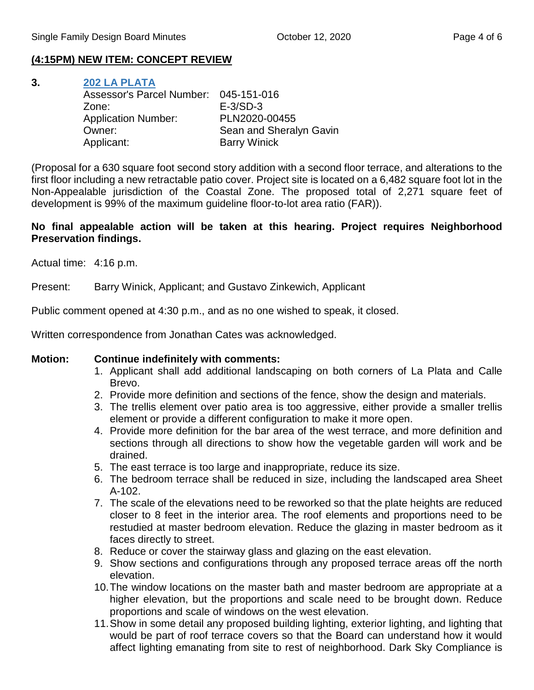## **(4:15PM) NEW ITEM: CONCEPT REVIEW**

**3. [202 LA PLATA](https://www.santabarbaraca.gov/SBdocuments/Advisory_Groups/Single_Family_Design_Board/Archive/2020_Archives/03_Architectural_Drawings/2020-10-12_October_12_2020_202_La_Plata.pdf)** Assessor's Parcel Number: 045-151-016 Zone: E-3/SD-3 Application Number: PLN2020-00455 Owner: Sean and Sheralyn Gavin Applicant: Barry Winick

(Proposal for a 630 square foot second story addition with a second floor terrace, and alterations to the first floor including a new retractable patio cover. Project site is located on a 6,482 square foot lot in the Non-Appealable jurisdiction of the Coastal Zone. The proposed total of 2,271 square feet of development is 99% of the maximum guideline floor-to-lot area ratio (FAR)).

### **No final appealable action will be taken at this hearing. Project requires Neighborhood Preservation findings.**

Actual time: 4:16 p.m.

Present: Barry Winick, Applicant; and Gustavo Zinkewich, Applicant

Public comment opened at 4:30 p.m., and as no one wished to speak, it closed.

Written correspondence from Jonathan Cates was acknowledged.

#### **Motion: Continue indefinitely with comments:**

- 1. Applicant shall add additional landscaping on both corners of La Plata and Calle Brevo.
- 2. Provide more definition and sections of the fence, show the design and materials.
- 3. The trellis element over patio area is too aggressive, either provide a smaller trellis element or provide a different configuration to make it more open.
- 4. Provide more definition for the bar area of the west terrace, and more definition and sections through all directions to show how the vegetable garden will work and be drained.
- 5. The east terrace is too large and inappropriate, reduce its size.
- 6. The bedroom terrace shall be reduced in size, including the landscaped area Sheet A-102.
- 7. The scale of the elevations need to be reworked so that the plate heights are reduced closer to 8 feet in the interior area. The roof elements and proportions need to be restudied at master bedroom elevation. Reduce the glazing in master bedroom as it faces directly to street.
- 8. Reduce or cover the stairway glass and glazing on the east elevation.
- 9. Show sections and configurations through any proposed terrace areas off the north elevation.
- 10.The window locations on the master bath and master bedroom are appropriate at a higher elevation, but the proportions and scale need to be brought down. Reduce proportions and scale of windows on the west elevation.
- 11.Show in some detail any proposed building lighting, exterior lighting, and lighting that would be part of roof terrace covers so that the Board can understand how it would affect lighting emanating from site to rest of neighborhood. Dark Sky Compliance is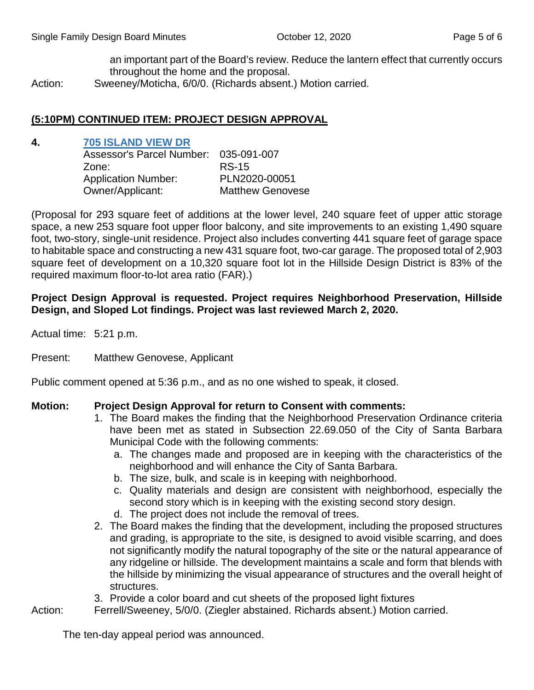an important part of the Board's review. Reduce the lantern effect that currently occurs throughout the home and the proposal.

Action: Sweeney/Moticha, 6/0/0. (Richards absent.) Motion carried.

#### **(5:10PM) CONTINUED ITEM: PROJECT DESIGN APPROVAL**

#### **4. [705 ISLAND VIEW DR](https://www.santabarbaraca.gov/SBdocuments/Advisory_Groups/Single_Family_Design_Board/Archive/2020_Archives/03_Architectural_Drawings/2020-10-12_October_12_2020_705_Island_View.pdf)**

| Assessor's Parcel Number: 035-091-007 |
|---------------------------------------|
| <b>RS-15</b>                          |
| PLN2020-00051                         |
| <b>Matthew Genovese</b>               |
|                                       |

(Proposal for 293 square feet of additions at the lower level, 240 square feet of upper attic storage space, a new 253 square foot upper floor balcony, and site improvements to an existing 1,490 square foot, two-story, single-unit residence. Project also includes converting 441 square feet of garage space to habitable space and constructing a new 431 square foot, two-car garage. The proposed total of 2,903 square feet of development on a 10,320 square foot lot in the Hillside Design District is 83% of the required maximum floor-to-lot area ratio (FAR).)

#### **Project Design Approval is requested. Project requires Neighborhood Preservation, Hillside Design, and Sloped Lot findings. Project was last reviewed March 2, 2020.**

Actual time: 5:21 p.m.

Present: Matthew Genovese, Applicant

Public comment opened at 5:36 p.m., and as no one wished to speak, it closed.

#### **Motion: Project Design Approval for return to Consent with comments:**

- 1. The Board makes the finding that the Neighborhood Preservation Ordinance criteria have been met as stated in Subsection 22.69.050 of the City of Santa Barbara Municipal Code with the following comments:
	- a. The changes made and proposed are in keeping with the characteristics of the neighborhood and will enhance the City of Santa Barbara.
	- b. The size, bulk, and scale is in keeping with neighborhood.
	- c. Quality materials and design are consistent with neighborhood, especially the second story which is in keeping with the existing second story design.
	- d. The project does not include the removal of trees.
- 2. The Board makes the finding that the development, including the proposed structures and grading, is appropriate to the site, is designed to avoid visible scarring, and does not significantly modify the natural topography of the site or the natural appearance of any ridgeline or hillside. The development maintains a scale and form that blends with the hillside by minimizing the visual appearance of structures and the overall height of structures.
- 3. Provide a color board and cut sheets of the proposed light fixtures
- Action: Ferrell/Sweeney, 5/0/0. (Ziegler abstained. Richards absent.) Motion carried.

The ten-day appeal period was announced.